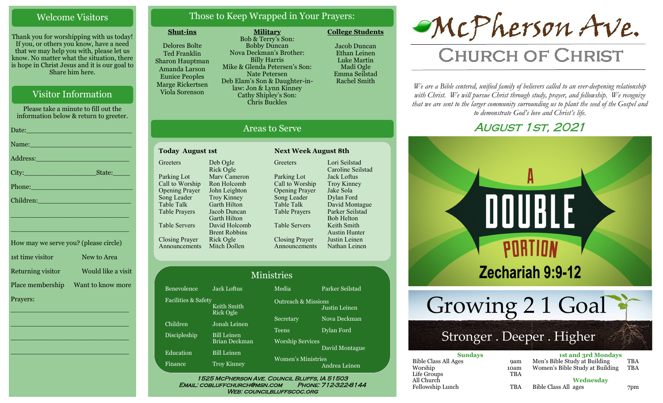#### Welcome Visitors

Thank you for worshipping with us today! If you, or others you know, have a need that we may help you with, please let us know. No matter what the situation, there is hope in Christ Jesus and it is our goal to Share him here.

#### Visitor Information

Please take a minute to fill out the information below & return to greeter. Date:\_\_\_\_\_\_\_\_\_\_\_\_\_\_\_\_\_\_\_\_\_\_\_\_\_ Name: Address:\_\_\_\_\_\_\_\_\_\_\_\_\_\_\_\_\_\_\_\_\_\_ City:\_\_\_\_\_\_\_\_\_\_\_\_\_\_\_\_\_State:\_\_\_\_ Phone:\_\_\_\_\_\_\_\_\_\_\_\_\_\_\_\_\_\_\_\_\_\_\_\_ Children: \_\_\_\_\_\_\_\_\_\_\_\_\_\_\_\_\_\_\_\_\_\_\_\_\_\_\_\_ \_\_\_\_\_\_\_\_\_\_\_\_\_\_\_\_\_\_\_\_\_\_\_\_\_\_\_\_ How may we serve you? (please circle) 1st time visitor New to Area

Returning visitor Would like a visit Place membership Want to know more Prayers:

\_\_\_\_\_\_\_\_\_\_\_\_\_\_\_\_\_\_\_\_\_\_\_\_\_\_\_\_

 $\overline{\phantom{a}}$  , and the set of the set of the set of the set of the set of the set of the set of the set of the set of the set of the set of the set of the set of the set of the set of the set of the set of the set of the s

 $\overline{\phantom{a}}$  , and the set of the set of the set of the set of the set of the set of the set of the set of the set of the set of the set of the set of the set of the set of the set of the set of the set of the set of the s

\_\_\_\_\_\_\_\_\_\_\_\_\_\_\_\_\_\_\_\_\_\_\_\_\_\_\_\_

#### Those to Keep Wrapped in Your Prayers:

**Military**

#### **Shut-ins**

Delores Bolte Ted Franklin Sharon Hauptman Amanda Larson Eunice Peoples Marge Rickertsen Viola Sorenson

Bob & Terry's Son: Bobby Duncan Nova Deckman's Brother: Billy Harris Mike & Glenda Petersen's Son: Nate Petersen Deb Elam's Son & Daughter-inlaw: Jon & Lynn Kinney Cathy Shipley's Son: Chris Buckles

Jacob Duncan Ethan Leinen Luke Martin Madi Ogle Emma Seilstad Rachel Smith

**College Students** 

Lori Seilstad Caroline Seilstad Jack Loftus Troy Kinney Jake Sola Dylan Ford David Montague Parker Seilstad Bob Helton Keith Smith Austin Hunter Justin Leinen Nathan Leinen

#### Areas to Serve

#### **Today August 1st Next Week August 8th Greeters** Parking Lot Call to Worship Opening Prayer Song Leader Table Talk Table Prayers Table Servers Closing Prayer Announcements Mitch Dollen Deb Ogle Rick Ogle Marv Cameron Ron Holcomb John Leighton Troy Kinney Garth Hilton Jacob Duncan Garth Hilton David Holcomb Brent Robbins Rick Ogle

**Greeters** Parking Lot Call to Worship Opening Prayer Song Leader Table Talk Table Prayers Table Servers Closing Prayer Announcements

| <b>Ministries</b>                               |                                     |                                            |                 |  |
|-------------------------------------------------|-------------------------------------|--------------------------------------------|-----------------|--|
| Benevolence                                     | Jack Loftus                         | Media                                      | Parker Seilstad |  |
| Facilities & Safety<br>Keith Smith<br>Rick Ogle |                                     | <b>Outreach &amp; Missions</b>             | Justin Leinen   |  |
| Children                                        | Jonah Leinen                        | Secretary                                  | Nova Deckman    |  |
| Discipleship                                    | <b>Bill Leinen</b><br>Brian Deckman | <b>Teens</b><br><b>Worship Services</b>    | Dylan Ford      |  |
| Education                                       | <b>Bill Leinen</b>                  | David Montague                             |                 |  |
| Finance                                         | <b>Troy Kinney</b>                  | <b>Women's Ministries</b><br>Andrea Leinen |                 |  |

WEB: COUNCILBLUFFSCOC.ORG

# McPherson Ave.

# **CHURCH OF CHRIST**

*We are a Bible centered, unified family of believers called to an ever-deepening relationship*  with Christ. We will pursue Christ through study, prayer, and fellowship. We recognize *that we are sent to the larger community surrounding us to plant the seed of the Gospel and to demonstrate God's love and Christ's life.*

# August 1st, 2021